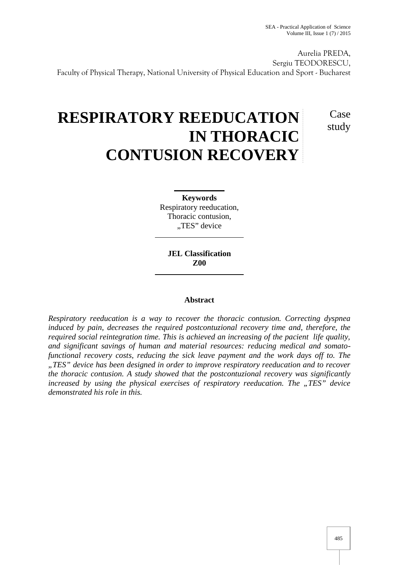Case

study

Aurelia PREDA, Sergiu TEODORESCU, Faculty of Physical Therapy, National University of Physical Education and Sport - Bucharest

# **RESPIRATORY REEDUCATION IN THORACIC CONTUSION RECOVERY**

**Keywords** Respiratory reeducation, Thoracic contusion, "TES" device

**JEL Classification Z00**

## **Abstract**

*Respiratory reeducation is a way to recover the thoracic contusion. Correcting dyspnea induced by pain, decreases the required postcontuzional recovery time and, therefore, the required social reintegration time. This is achieved an increasing of the pacient life quality, and significant savings of human and material resources: reducing medical and somatofunctional recovery costs, reducing the sick leave payment and the work days off to. The "TES" device has been designed in order to improve respiratory reeducation and to recover the thoracic contusion. A study showed that the postcontuzional recovery was significantly increased by using the physical exercises of respiratory reeducation. The "TES" device demonstrated his role in this.*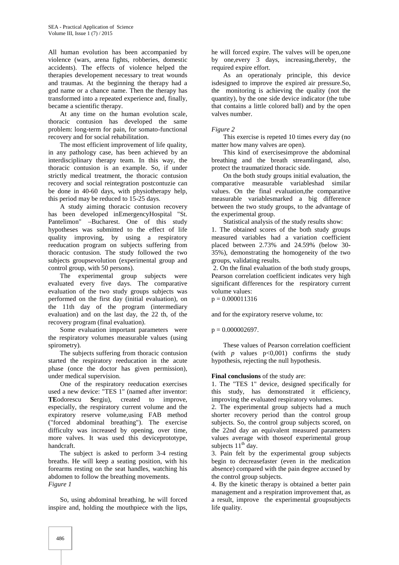All human evolution has been accompanied by violence (wars, arena fights, robberies, domestic accidents). The effects of violence helped the therapies developement necessary to treat wounds and traumas. At the beginning the therapy had a god name or a chance name. Then the therapy has transformed into a repeated experience and, finally, became a scientific therapy.

At any time on the human evolution scale, thoracic contusion has developed the same problem: long-term for pain, for somato-functional recovery and for social rehabilitation.

The most efficient improvement of life quality, in any pathology case, has been achieved by an interdisciplinary therapy team. In this way, the thoracic contusion is an example. So, if under strictly medical treatment, the thoracic contusion recovery and social reintegration postcontuzie can be done in 40-60 days, with physiotherapy help, this period may be reduced to 15-25 days.

A study aiming thoracic contusion recovery has been developed inEmergencyHospital "St. Pantelimon" –Bucharest. One of this study hypotheses was submitted to the effect of life quality improving, by using a respiratory reeducation program on subjects suffering from thoracic contusion. The study followed the two subjects groupsevolution (experimental group and control group, with 50 persons).

The experimental group subjects were evaluated every five days. The comparative evaluation of the two study groups subjects was performed on the first day (initial evaluation), on the 11th day of the program (intermediary evaluation) and on the last day, the 22 th, of the recovery program (final evaluation).

Some evaluation important parameters were the respiratory volumes measurable values (using spirometry).

The subjects suffering from thoracic contusion started the respiratory reeducation in the acute phase (once the doctor has given permission), under medical supervision.

One of the respiratory reeducation exercises used a new device: "TES 1" (named after inventor: **TE**odorescu **S**ergiu), created to improve, especially, the respiratory current volume and the expiratory reserve volume,using FAB method ("forced abdominal breathing"). The exercise difficulty was increased by opening, over time, more valves. It was used this deviceprototype, handcraft.

The subject is asked to perform 3-4 resting breaths. He will keep a seating position, with his forearms resting on the seat handles, watching his abdomen to follow the breathing movements. *Figure 1*

So, using abdominal breathing, he will forced inspire and, holding the mouthpiece with the lips,

he will forced expire. The valves will be open,one by one,every 3 days, increasing,thereby, the required expire effort.

As an operationaly principle, this device isdesigned to improve the expired air pressure.So, the monitoring is achieving the quality (not the quantity), by the one side device indicator (the tube that contains a little colored ball) and by the open valves number.

### *Figure 2*

This exercise is repeted 10 times every day (no matter how many valves are open).

This kind of exercisesimprove the abdominal breathing and the breath streamlingand, also, protect the traumatized thoracic side.

On the both study groups initial evaluation, the comparative measurable variableshad similar values. On the final evaluation,the comparative measurable variablesmarked a big difference between the two study groups, to the advantage of the experimental group.

Statistical analysis of the study results show:

1. The obtained scores of the both study groups measured variables had a variation coefficient placed between 2.73% and 24.59% (below 30- 35%), demonstrating the homogeneity of the two groups, validating results.

2. On the final evaluation of the both study groups, Pearson correlation coefficient indicates very high significant differences for the respiratory current volume values:

 $p = 0.000011316$ 

and for the expiratory reserve volume, to:

#### $p = 0.000002697$ .

These values of Pearson correlation coefficient (with  $p$  values  $p<0,001$ ) confirms the study hypothesis, rejecting the null hypothesis.

#### **Final conclusions** of the study are:

1. The "TES 1" device, designed specifically for this study, has demonstrated it efficiency, improving the evaluated respiratory volumes.

2. The experimental group subjects had a much shorter recovery period than the control group subjects. So, the control group subjects scored, on the 22nd day an equivalent measured parameters values average with thoseof experimental group subjects  $11^{th}$  day.

3. Pain felt by the experimental group subjects begin to decreasefaster (even in the medication absence) compared with the pain degree accused by the control group subjects.

4. By the kinetic therapy is obtained a better pain management and a respiration improvement that, as a result, improve the experimental groupsubjects life quality.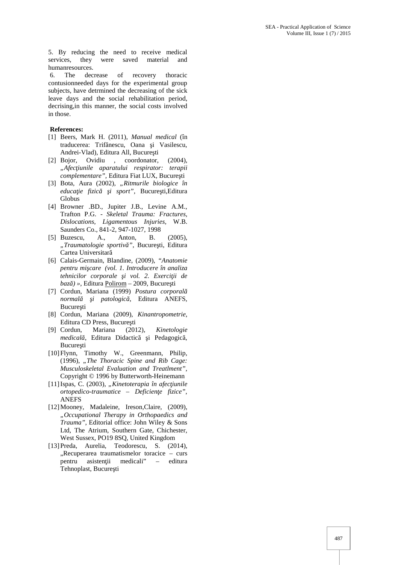5. By reducing the need to receive medical services, they were saved material and humanresources.

6. The decrease of recovery thoracic contusionneeded days for the experimental group subjects, have detrmined the decreasing of the sick leave days and the social rehabilitation period, decrising,in this manner, the social costs involved in those.

#### **References:**

- [1] Beers, Mark H. (2011), *Manual medical* (în traducerea: Trif nescu, Oana i Vasilescu, Andrei-Vlad), Editura All, Bucure ti<br>Bojor, Ovidiu , coordonator.
- [2] Bojor, Ovidiu , coordonator. (2004). "Afec iunile aparatului respirator: terapii *complementare"*, Editura Fiat LUX, Bucure ti
- [3] Bota, Aura (2002), "Ritmurile biologice în *educa ie fizic i sport"*, Bucure ti,Editura Globus
- [4] Browner .BD., Jupiter J.B., Levine A.M., Trafton P.G. - *Skeletal Trauma: Fractures, Dislocations, Ligamentous Injuries,* W.B. Saunders Co., 841-2, 947-1027, 1998
- [5] Buzescu, A., Anton, B. (2005), "Traumatologie sportiv<sup>"</sup>, Bucure ti, Editura Cartea Universitar
- [6] Calais-Germain, Blandine, (2009), *"Anatomie pentru mişcare (vol. 1. Introducere în analiza*  $t$ ehnicilor corporale *i vol. 2. Exerci ii de baz* ) », Editura Polirom – 2009, Bucure ti
- [7] Cordun, Mariana (1999) *Postura corporal normal i patologic*, Editura ANEFS, Bucure ti
- [8] Cordun, Mariana (2009), *Kinantropometrie*, Editura CD Press, Bucure ti
- [9] Cordun, Mariana (2012), *Kinetologie medical* , Editura Didactic i Pedagogic, Bucure ti
- [10]Flynn, Timothy W., Greenmann, Philip, (1996), *"The Thoracic Spine and Rib Cage: Musculoskeletal Evaluation and Treatlment"*, Copyright © 1996 by Butterworth-Heinemann
- [11]Ispas, C. (2003), "Kinetoterapia în afec iunile *ortopedico-traumatice – Deficienţe fizice"*, ANEFS
- [12]Mooney, Madaleine, Ireson,Claire, (2009), *"Occupational Therapy in Orthopaedics and Trauma"*, Editorial office: John Wiley & Sons Ltd, The Atrium, Southern Gate, Chichester, West Sussex, PO19 8SQ, United Kingdom
- [13]Preda, Aurelia, Teodorescu, S. (2014),  $n$ Recuperarea traumatismelor toracice – curs pentru asisten ii medicali" – editura Tehnoplast, Bucure ti